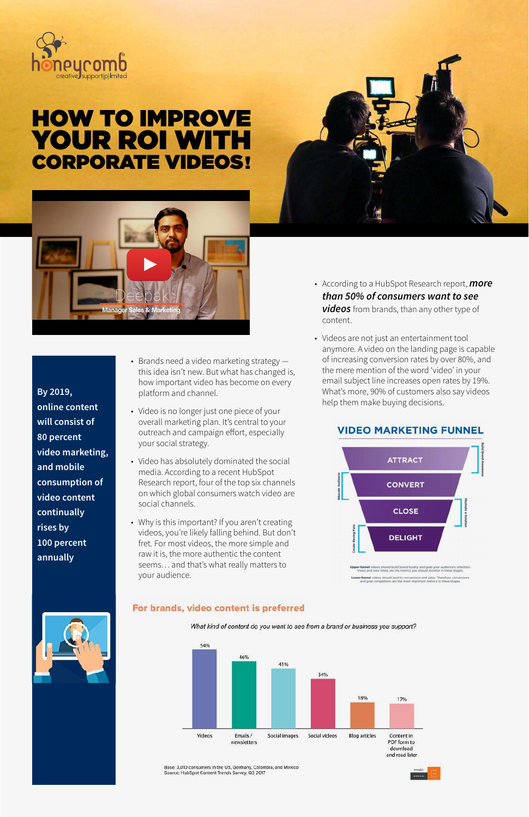

# HOW TO IMPROVE YOUR ROI WITH CORPORATE VIDEOS!





**By 2019, online content will consist of 80 percent video marketing, and mobile consumption of video content continually rises by 100 percent annually**

- Brands need a video marketing strategy this idea isn't new. But what has changed is, how important video has become on every platform and channel.
- Video is no longer just one piece of your overall marketing plan. It's central to your outreach and campaign effort, especially your social strategy.
- Video has absolutely dominated the social media. According to a recent HubSpot Research report, four of the top six channels on which global consumers watch video are social channels.
- Why is this important? If you aren't creating videos, you're likely falling behind. But don't fret. For most videos, the more simple and raw it is, the more authentic the content seems… and that's what really matters to your audience.

#### For brands, video content is preferred

What kind of content do you want to see from a brand or business you support?



Base: 3,010 consumers in the US, Germany, Colombia, and Mexico<br>Source: HubSpot Content Trends Survey, Q3 2017

- According to a HubSpot Research report, *more [than 50% of consumers want to see](https://drive.google.com/file/d/1LDLp7fpTnHDEAqkCHY03ANiu46BmqyXO/view?usp=sharing)  videos* from brands, than any other type of content.
- Videos are not just an entertainment tool anymore. A video on the landing page is capable of increasing conversion rates by over 80%, and the mere mention of the word 'video' in your email subject line increases open rates by 19%. What's more, 90% of customers also say videos help them make buying decisions.

#### **VIDEO MARKETING FUNNEL**



**er-funnel** videos should build brand loyalty and grab your audience's atte<br>Views and view times are the metrics you should monitor in these stages **er-funnel** videos should lead to conversions and sales. Therefore, convi<br>and goal completions are the most important metrics in these stages